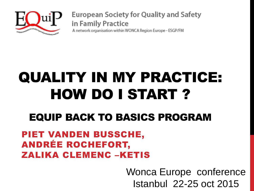

**European Society for Quality and Safety** in Family Practice A network organisation within WONCA Region Europe - ESGP/FM

# QUALITY IN MY PRACTICE: HOW DO I START ?

#### EQUIP BACK TO BASICS PROGRAM

#### PIET VANDEN BUSSCHE, ANDRÉE ROCHEFORT, ZALIKA CLEMENC –KETIS

Wonca Europe conference Istanbul 22-25 oct 2015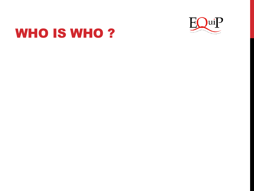

#### WHO IS WHO?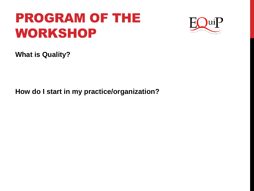#### PROGRAM OF THE WORKSHOP



**What is Quality?** 

**How do I start in my practice/organization?**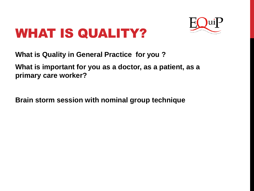### WHAT IS QUALITY?



**What is Quality in General Practice for you ?** 

**What is important for you as a doctor, as a patient, as a primary care worker?**

**Brain storm session with nominal group technique**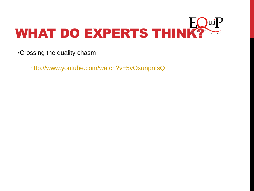

•Crossing the quality chasm

<http://www.youtube.com/watch?v=5vOxunpnIsQ>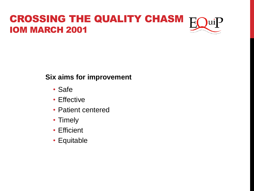#### CROSSING THE QUALITY CHASM  $uiP$ IOM MARCH 2001

#### **Six aims for improvement**

- Safe
- Effective
- Patient centered
- Timely
- Efficient
- Equitable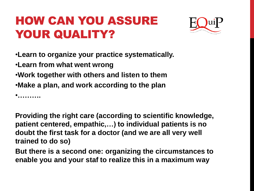#### HOW CAN YOU ASSURE YOUR QUALITY?



•**Learn to organize your practice systematically.**

•**Learn from what went wrong**

•**Work together with others and listen to them**

•**Make a plan, and work according to the plan**

•**……….**

**Providing the right care (according to scientific knowledge, patient centered, empathic,…) to individual patients is no doubt the first task for a doctor (and we are all very well trained to do so)**

**But there is a second one: organizing the circumstances to enable you and your staf to realize this in a maximum way**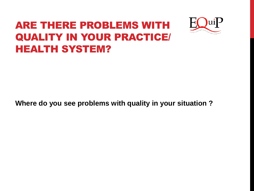#### ARE THERE PROBLEMS WITH QUALITY IN YOUR PRACTICE/ HEALTH SYSTEM?



**Where do you see problems with quality in your situation ?**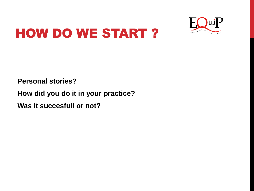

## HOW DO WE START ?

**Personal stories?** 

**How did you do it in your practice? Was it succesfull or not?**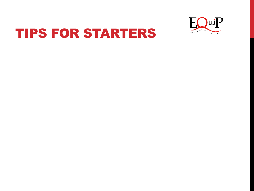

#### TIPS FOR STARTERS

- 
- 
- 
- 
- 
- - - -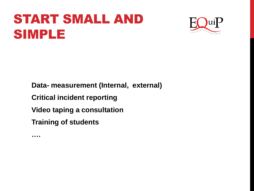### START SMALL AND SIMPLE



**Data- measurement (Internal, external) Critical incident reporting Video taping a consultation Training of students**

**….**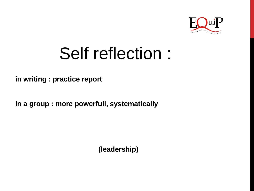

# Self reflection :

**in writing : practice report**

**In a group : more powerfull, systematically**

**(leadership)**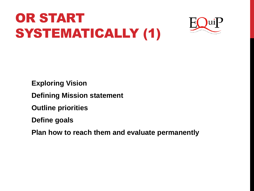## OR START SYSTEMATICALLY (1)



**Exploring Vision**

**Defining Mission statement**

**Outline priorities**

**Define goals** 

**Plan how to reach them and evaluate permanently**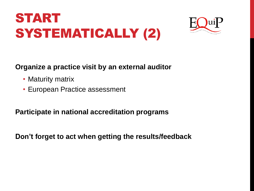## START SYSTEMATICALLY (2)



#### **Organize a practice visit by an external auditor**

- Maturity matrix
- European Practice assessment

**Participate in national accreditation programs**

**Don't forget to act when getting the results/feedback**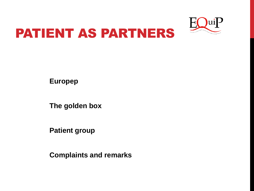



**Europep**

**The golden box** 

**Patient group**

**Complaints and remarks**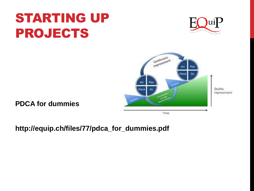### STARTING UP PROJECTS





**PDCA for dummies**

**http://equip.ch/files/77/pdca\_for\_dummies.pdf**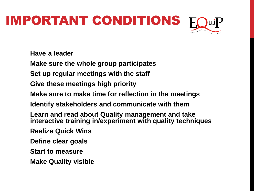# IMPORTANT CONDITIONS

**Have a leader**

**Make sure the whole group participates**

**Set up regular meetings with the staff**

**Give these meetings high priority**

**Make sure to make time for reflection in the meetings**

**Identify stakeholders and communicate with them**

**Learn and read about Quality management and take interactive training in/experiment with quality techniques**

**Realize Quick Wins**

**Define clear goals** 

**Start to measure**

**Make Quality visible**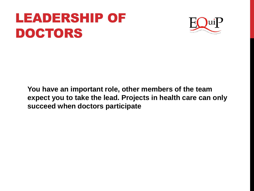### LEADERSHIP OF DOCTORS



**You have an important role, other members of the team expect you to take the lead. Projects in health care can only succeed when doctors participate**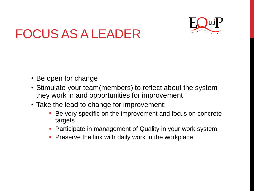

### FOCUS AS A LEADER

- Be open for change
- Stimulate your team(members) to reflect about the system they work in and opportunities for improvement
- Take the lead to change for improvement:
	- **Be very specific on the improvement and focus on concrete** targets
	- **Participate in management of Quality in your work system**
	- Preserve the link with daily work in the workplace